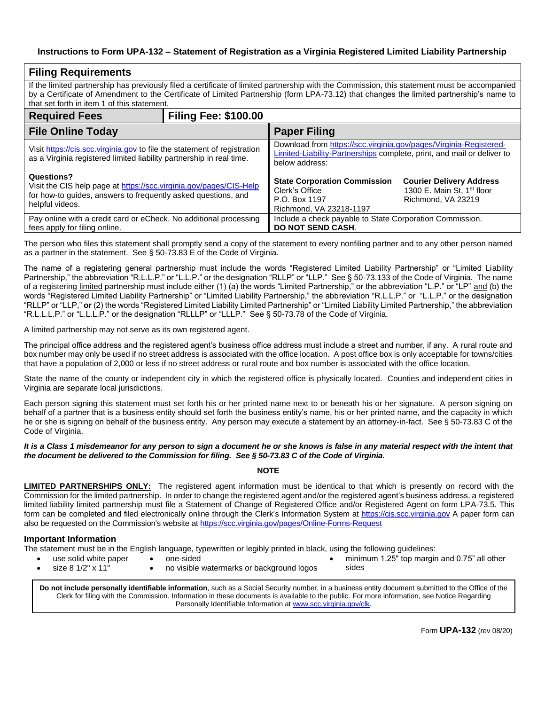## **Instructions to Form UPA-132 – Statement of Registration as a Virginia Registered Limited Liability Partnership**

| <b>Filing Requirements</b>                                                                                                                                                                                                                                                                                                             |  |                                                                                                                                                               |                                                                                                 |  |  |  |  |
|----------------------------------------------------------------------------------------------------------------------------------------------------------------------------------------------------------------------------------------------------------------------------------------------------------------------------------------|--|---------------------------------------------------------------------------------------------------------------------------------------------------------------|-------------------------------------------------------------------------------------------------|--|--|--|--|
| If the limited partnership has previously filed a certificate of limited partnership with the Commission, this statement must be accompanied<br>by a Certificate of Amendment to the Certificate of Limited Partnership (form LPA-73.12) that changes the limited partnership's name to<br>that set forth in item 1 of this statement. |  |                                                                                                                                                               |                                                                                                 |  |  |  |  |
| <b>Filing Fee: \$100.00</b><br><b>Required Fees</b>                                                                                                                                                                                                                                                                                    |  |                                                                                                                                                               |                                                                                                 |  |  |  |  |
| <b>File Online Today</b>                                                                                                                                                                                                                                                                                                               |  | <b>Paper Filing</b>                                                                                                                                           |                                                                                                 |  |  |  |  |
| Visit https://cis.scc.virginia.gov to file the statement of registration<br>as a Virginia registered limited liability partnership in real time.                                                                                                                                                                                       |  | Download from https://scc.virginia.gov/pages/Virginia-Registered-<br>Limited-Liability-Partnerships complete, print, and mail or deliver to<br>below address: |                                                                                                 |  |  |  |  |
| Questions?<br>Visit the CIS help page at https://scc.virginia.gov/pages/CIS-Help<br>for how-to guides, answers to frequently asked questions, and<br>helpful videos.                                                                                                                                                                   |  | <b>State Corporation Commission</b><br>Clerk's Office<br>P.O. Box 1197<br>Richmond, VA 23218-1197                                                             | <b>Courier Delivery Address</b><br>1300 E. Main St, 1 <sup>st</sup> floor<br>Richmond, VA 23219 |  |  |  |  |
| Pay online with a credit card or eCheck. No additional processing<br>fees apply for filing online.                                                                                                                                                                                                                                     |  | Include a check payable to State Corporation Commission.<br><b>DO NOT SEND CASH.</b>                                                                          |                                                                                                 |  |  |  |  |

The person who files this statement shall promptly send a copy of the statement to every nonfiling partner and to any other person named as a partner in the statement. See § 50-73.83 E of the Code of Virginia.

The name of a registering general partnership must include the words "Registered Limited Liability Partnership" or "Limited Liability Partnership," the abbreviation "R.L.L.P." or "L.L.P." or the designation "RLLP" or "LLP." See § 50-73.133 of the Code of Virginia. The name of a registering <u>limited</u> partnership must include either (1) (a) the words "Limited Partnership," or the abbreviation "L.P." or "LP" <u>and</u> (b) the words "Registered Limited Liability Partnership" or "Limited Liability Partnership," the abbreviation "R.L.L.P." or "L.L.P." or the designation "RLLP" or "LLP," **or** (2) the words "Registered Limited Liability Limited Partnership" or "Limited Liability Limited Partnership," the abbreviation "R.L.L.L.P." or "L.L.L.P." or the designation "RLLLP" or "LLLP." See § 50-73.78 of the Code of Virginia.

A limited partnership may not serve as its own registered agent.

The principal office address and the registered agent's business office address must include a street and number, if any. A rural route and box number may only be used if no street address is associated with the office location. A post office box is only acceptable for towns/cities that have a population of 2,000 or less if no street address or rural route and box number is associated with the office location.

State the name of the county or independent city in which the registered office is physically located. Counties and independent cities in Virginia are separate local jurisdictions.

Each person signing this statement must set forth his or her printed name next to or beneath his or her signature. A person signing on behalf of a partner that is a business entity should set forth the business entity's name, his or her printed name, and the capacity in which he or she is signing on behalf of the business entity. Any person may execute a statement by an attorney-in-fact. See § 50-73.83 C of the Code of Virginia.

## *It is a Class 1 misdemeanor for any person to sign a document he or she knows is false in any material respect with the intent that the document be delivered to the Commission for filing. See § 50-73.83 C of the Code of Virginia.*

**NOTE**

**LIMITED PARTNERSHIPS ONLY:** The registered agent information must be identical to that which is presently on record with the Commission for the limited partnership. In order to change the registered agent and/or the registered agent's business address, a registered limited liability limited partnership must file a Statement of Change of Registered Office and/or Registered Agent on form LPA-73.5. This form can be completed and filed electronically online through the Clerk's Information System at [https://cis.scc.virginia.gov](https://cis.scc.virginia.gov/) A paper form can also be requested on the Commission's website at<https://scc.virginia.gov/pages/Online-Forms-Request>

## **Important Information**

The statement must be in the English language, typewritten or legibly printed in black, using the following guidelines:

- use solid white paper size 8 1/2" x 11"
- one-sided • no visible watermarks or background logos
- minimum 1.25" top margin and 0.75" all other sides

**Do not include personally identifiable information**, such as a Social Security number, in a business entity document submitted to the Office of the Clerk for filing with the Commission. Information in these documents is available to the public. For more information, see Notice Regarding Personally Identifiable Information at [www.scc.virginia.gov/clk.](http://www.scc.virginia.gov/clk)